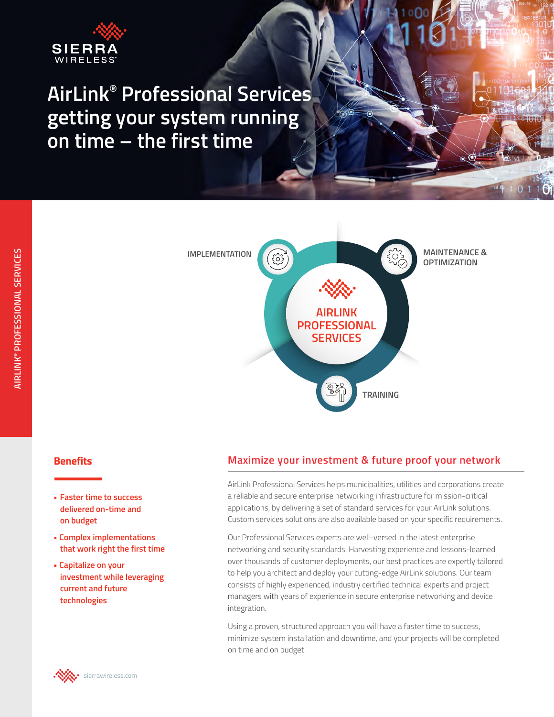

# **AirLink® Professional Services getting your system running on time – the first time**



### **Benefits**

- **Faster time to success delivered on-time and on budget**
- **Complex implementations that work right the first time**
- **Capitalize on your investment while leveraging current and future technologies**

## **Maximize your investment & future proof your network**

AirLink Professional Services helps municipalities, utilities and corporations create a reliable and secure enterprise networking infrastructure for mission-critical applications, by delivering a set of standard services for your AirLink solutions. Custom services solutions are also available based on your specific requirements.

Our Professional Services experts are well-versed in the latest enterprise networking and security standards. Harvesting experience and lessons-learned over thousands of customer deployments, our best practices are expertly tailored to help you architect and deploy your cutting-edge AirLink solutions. Our team consists of highly experienced, industry certified technical experts and project managers with years of experience in secure enterprise networking and device integration.

Using a proven, structured approach you will have a faster time to success, minimize system installation and downtime, and your projects will be completed on time and on budget.